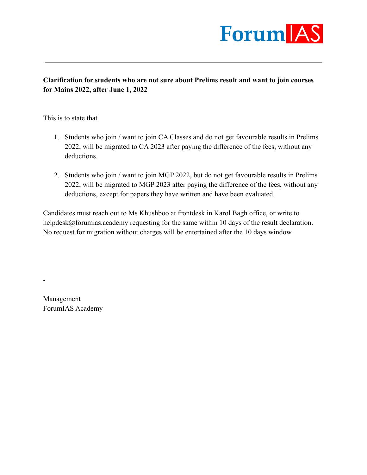

**Clarification for students who are not sure about Prelims result and want to join courses for Mains 2022, after June 1, 2022**

This is to state that

- 1. Students who join / want to join CA Classes and do not get favourable results in Prelims 2022, will be migrated to CA 2023 after paying the difference of the fees, without any deductions.
- 2. Students who join / want to join MGP 2022, but do not get favourable results in Prelims 2022, will be migrated to MGP 2023 after paying the difference of the fees, without any deductions, except for papers they have written and have been evaluated.

Candidates must reach out to Ms Khushboo at frontdesk in Karol Bagh office, or write to helpdesk@forumias.academy requesting for the same within 10 days of the result declaration. No request for migration without charges will be entertained after the 10 days window

Management ForumIAS Academy

-